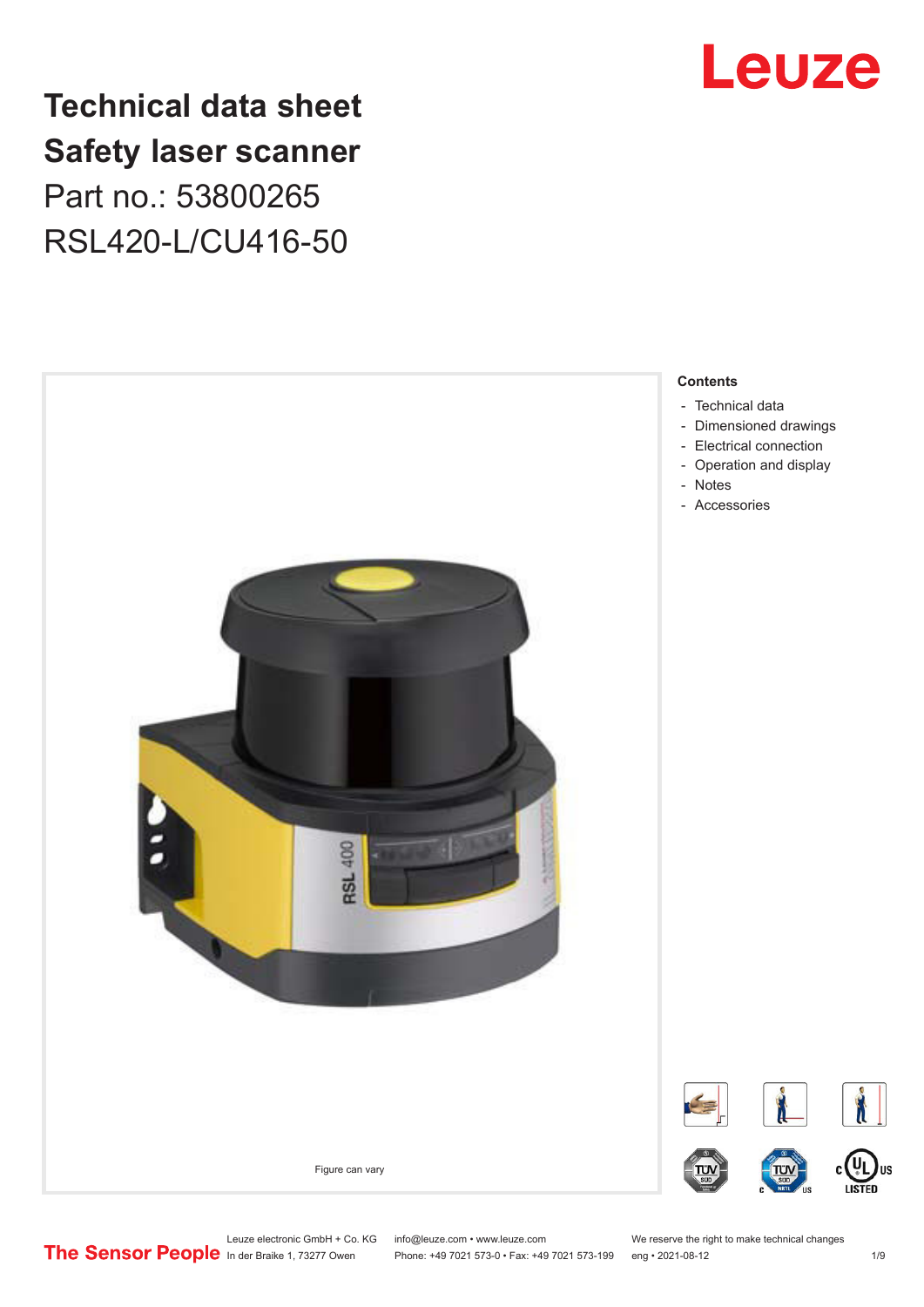

# **Technical data sheet Safety laser scanner** Part no.: 53800265 RSL420-L/CU416-50



Leuze electronic GmbH + Co. KG info@leuze.com • www.leuze.com We reserve the right to make technical changes<br>
The Sensor People in der Braike 1, 73277 Owen Phone: +49 7021 573-0 • Fax: +49 7021 573-199 eng • 2021-08-12

Phone: +49 7021 573-0 • Fax: +49 7021 573-199 eng • 2021-08-12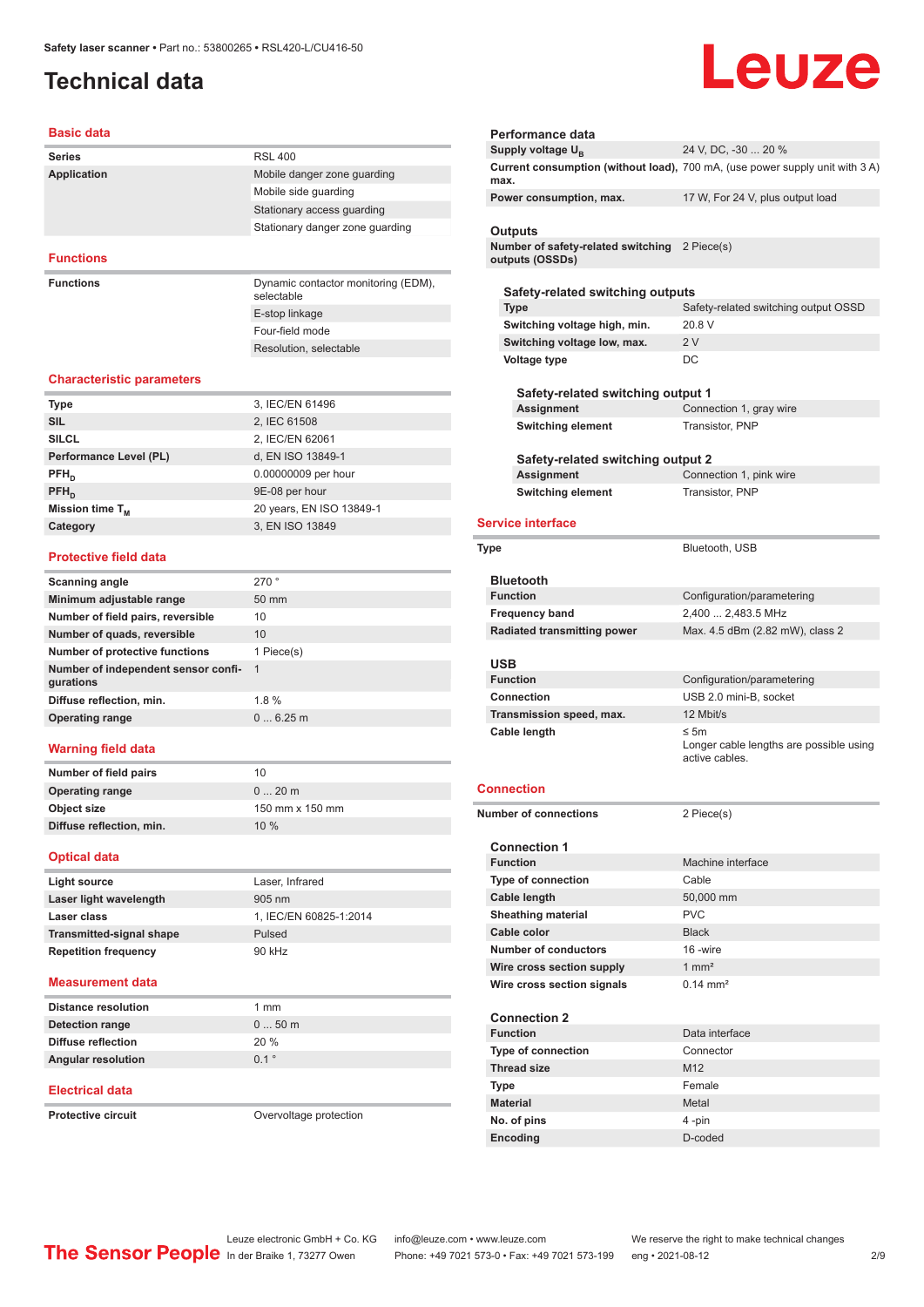# <span id="page-1-0"></span>**Technical data**

# Leuze

#### **Basic data**

| <b>Series</b>      | <b>RSL 400</b>                                    |
|--------------------|---------------------------------------------------|
| <b>Application</b> | Mobile danger zone quarding                       |
|                    | Mobile side quarding                              |
|                    | Stationary access guarding                        |
|                    | Stationary danger zone guarding                   |
|                    |                                                   |
| <b>Functions</b>   |                                                   |
| <b>Functions</b>   | Dynamic contactor monitoring (EDM),<br>selectable |

E-stop linkage Four-field mode Resolution, selectable

#### **Characteristic parameters**

| <b>Type</b>            | 3, IEC/EN 61496          |
|------------------------|--------------------------|
| <b>SIL</b>             | 2, IEC 61508             |
| <b>SILCL</b>           | 2, IEC/EN 62061          |
| Performance Level (PL) | d, EN ISO 13849-1        |
| $PFH_{n}$              | 0.00000009 per hour      |
| $PFH_{n}$              | 9E-08 per hour           |
| Mission time $T_M$     | 20 years, EN ISO 13849-1 |
| Category               | 3, EN ISO 13849          |
|                        |                          |

#### **Protective field data**

| Scanning angle                                   | 270°            |
|--------------------------------------------------|-----------------|
| Minimum adjustable range                         | $50 \text{ mm}$ |
| Number of field pairs, reversible                | 10              |
| Number of quads, reversible                      | 10              |
| Number of protective functions                   | 1 Piece(s)      |
| Number of independent sensor confi-<br>gurations | $\overline{1}$  |
| Diffuse reflection, min.                         | 1.8%            |
| <b>Operating range</b>                           | 06.25m          |
|                                                  |                 |

#### **Warning field data**

| Number of field pairs    | 10              |
|--------------------------|-----------------|
| <b>Operating range</b>   | $020$ m         |
| Object size              | 150 mm x 150 mm |
| Diffuse reflection, min. | 10%             |
|                          |                 |

#### **Optical data**

| Light source                    | Laser, Infrared        |
|---------------------------------|------------------------|
| Laser light wavelength          | $905 \text{ nm}$       |
| Laser class                     | 1. IEC/EN 60825-1:2014 |
| <b>Transmitted-signal shape</b> | Pulsed                 |
| <b>Repetition frequency</b>     | 90 kHz                 |

#### **Measurement data**

| <b>Distance resolution</b> | 1 mm             |
|----------------------------|------------------|
| Detection range            | $050$ m          |
| Diffuse reflection         | 20%              |
| <b>Angular resolution</b>  | $0.1$ $^{\circ}$ |

#### **Electrical data**

**Protective circuit COVER COVER COVER COVER COVER COVER** 

| Performance data                                                 |                                                                              |
|------------------------------------------------------------------|------------------------------------------------------------------------------|
| Supply voltage U <sub>B</sub>                                    | 24 V, DC, -30  20 %                                                          |
| max.                                                             | Current consumption (without load), 700 mA, (use power supply unit with 3 A) |
| Power consumption, max.                                          | 17 W, For 24 V, plus output load                                             |
| Outputs                                                          |                                                                              |
| Number of safety-related switching 2 Piece(s)<br>outputs (OSSDs) |                                                                              |
| Safety-related switching outputs                                 |                                                                              |
| <b>Type</b>                                                      | Safety-related switching output OSSD                                         |
| Switching voltage high, min.                                     | 20.8 V                                                                       |
| Switching voltage low, max.                                      | 2V                                                                           |
| Voltage type                                                     | DC                                                                           |
|                                                                  |                                                                              |
| Safety-related switching output 1                                |                                                                              |
| Assignment                                                       | Connection 1, gray wire                                                      |
| <b>Switching element</b>                                         | Transistor, PNP                                                              |
|                                                                  |                                                                              |
| Safety-related switching output 2                                |                                                                              |
| Assignment                                                       | Connection 1, pink wire                                                      |
| <b>Switching element</b>                                         | Transistor, PNP                                                              |
| <b>Service interface</b>                                         |                                                                              |
|                                                                  |                                                                              |
| Type                                                             | Bluetooth, USB                                                               |
|                                                                  |                                                                              |
| <b>Bluetooth</b><br><b>Function</b>                              |                                                                              |
|                                                                  | Configuration/parametering<br>2,400  2,483.5 MHz                             |
| <b>Frequency band</b>                                            | Max. 4.5 dBm (2.82 mW), class 2                                              |
| <b>Radiated transmitting power</b>                               |                                                                              |
|                                                                  |                                                                              |
|                                                                  |                                                                              |
| USB<br><b>Function</b>                                           |                                                                              |
| <b>Connection</b>                                                | Configuration/parametering<br>USB 2.0 mini-B, socket                         |
|                                                                  | 12 Mbit/s                                                                    |
| Transmission speed, max.<br>Cable length                         | $\leq$ 5m                                                                    |
|                                                                  | Longer cable lengths are possible using                                      |
|                                                                  | active cables.                                                               |
|                                                                  |                                                                              |
| Connection                                                       |                                                                              |
| <b>Number of connections</b>                                     | 2 Piece(s)                                                                   |
|                                                                  |                                                                              |
| <b>Connection 1</b>                                              |                                                                              |
| <b>Function</b>                                                  | Machine interface                                                            |
| Type of connection                                               | Cable                                                                        |
| <b>Cable length</b>                                              | 50,000 mm                                                                    |
| <b>Sheathing material</b>                                        | <b>PVC</b>                                                                   |
| Cable color                                                      | <b>Black</b>                                                                 |
| <b>Number of conductors</b>                                      | 16 -wire                                                                     |
| Wire cross section supply                                        | $1 \text{ mm}^2$                                                             |
| Wire cross section signals                                       | $0.14 \, \text{mm}^2$                                                        |
| <b>Connection 2</b>                                              |                                                                              |
| <b>Function</b>                                                  | Data interface                                                               |
| Type of connection                                               | Connector                                                                    |
| <b>Thread size</b>                                               | M <sub>12</sub>                                                              |
| Type                                                             | Female                                                                       |

**No. of pins** 4 -pin **Encoding** D-coded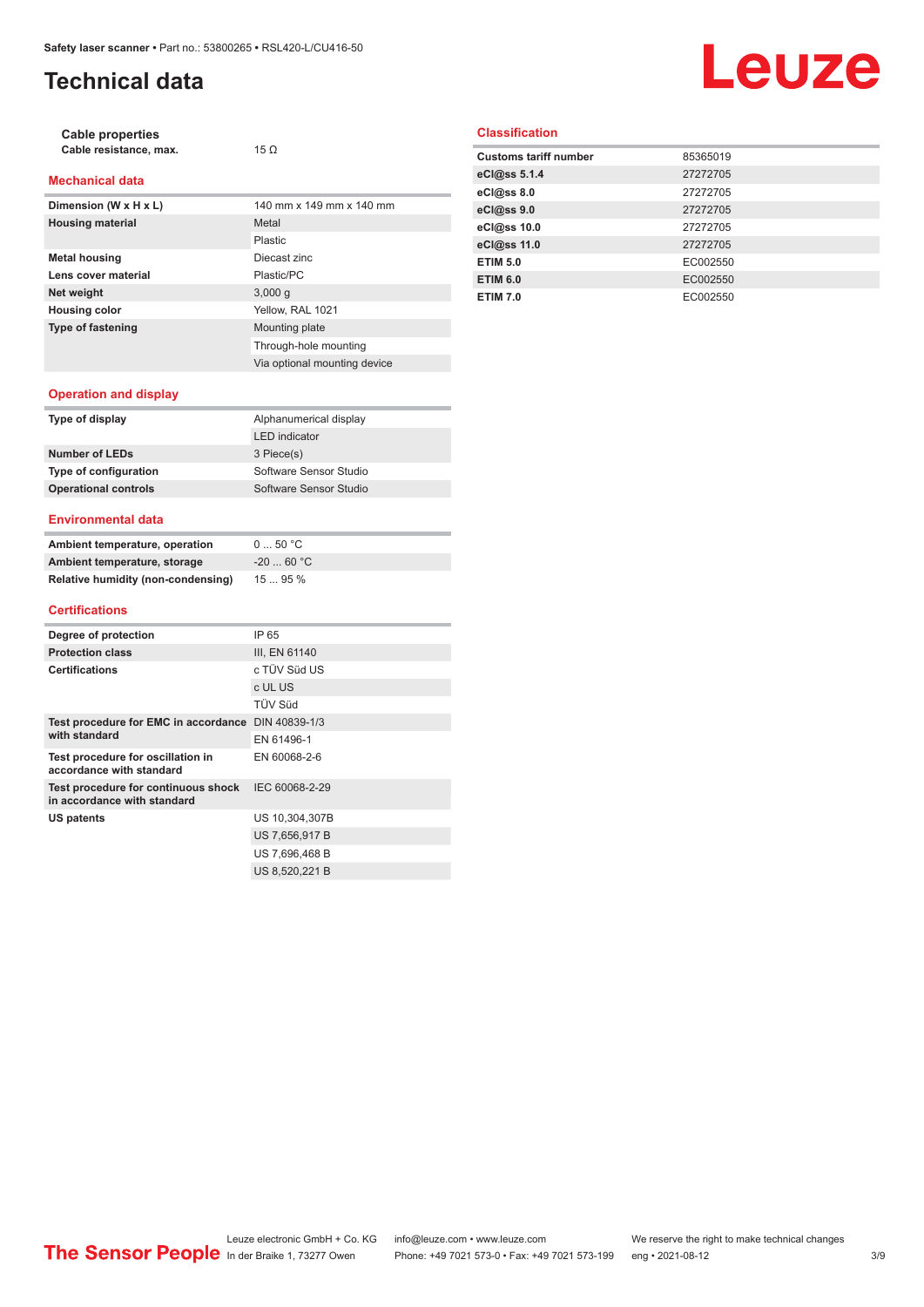# **Technical data**

# Leuze

| Cable properties       |             |
|------------------------|-------------|
| Cable resistance, max. | 15 $\Omega$ |

#### **Mechanical data**

| Dimension (W x H x L)    | 140 mm x 149 mm x 140 mm     |
|--------------------------|------------------------------|
| <b>Housing material</b>  | Metal                        |
|                          | Plastic                      |
| <b>Metal housing</b>     | Diecast zinc                 |
| Lens cover material      | Plastic/PC                   |
| Net weight               | 3,000q                       |
| <b>Housing color</b>     | Yellow, RAL 1021             |
| <b>Type of fastening</b> | Mounting plate               |
|                          | Through-hole mounting        |
|                          | Via optional mounting device |

#### **Classification**

| 85365019 |
|----------|
| 27272705 |
| 27272705 |
| 27272705 |
| 27272705 |
| 27272705 |
| EC002550 |
| EC002550 |
| EC002550 |
|          |

#### **Operation and display**

| Type of display             | Alphanumerical display |
|-----------------------------|------------------------|
|                             | <b>LED</b> indicator   |
| Number of LEDs              | 3 Piece(s)             |
| Type of configuration       | Software Sensor Studio |
| <b>Operational controls</b> | Software Sensor Studio |
|                             |                        |

#### **Environmental data**

| Ambient temperature, operation     | 050 °C     |
|------------------------------------|------------|
| Ambient temperature, storage       | $-2060 °C$ |
| Relative humidity (non-condensing) | 1595%      |

#### **Certifications**

| Degree of protection                                               | IP 65          |
|--------------------------------------------------------------------|----------------|
| <b>Protection class</b>                                            | III, EN 61140  |
| <b>Certifications</b>                                              | c TÜV Süd US   |
|                                                                    | c UL US        |
|                                                                    | <b>TÜV Süd</b> |
| Test procedure for EMC in accordance DIN 40839-1/3                 |                |
| with standard                                                      | FN 61496-1     |
| Test procedure for oscillation in<br>accordance with standard      | EN 60068-2-6   |
| Test procedure for continuous shock<br>in accordance with standard | IEC 60068-2-29 |
| US patents                                                         | US 10,304,307B |
|                                                                    | US 7,656,917 B |
|                                                                    | US 7,696,468 B |
|                                                                    | US 8.520.221 B |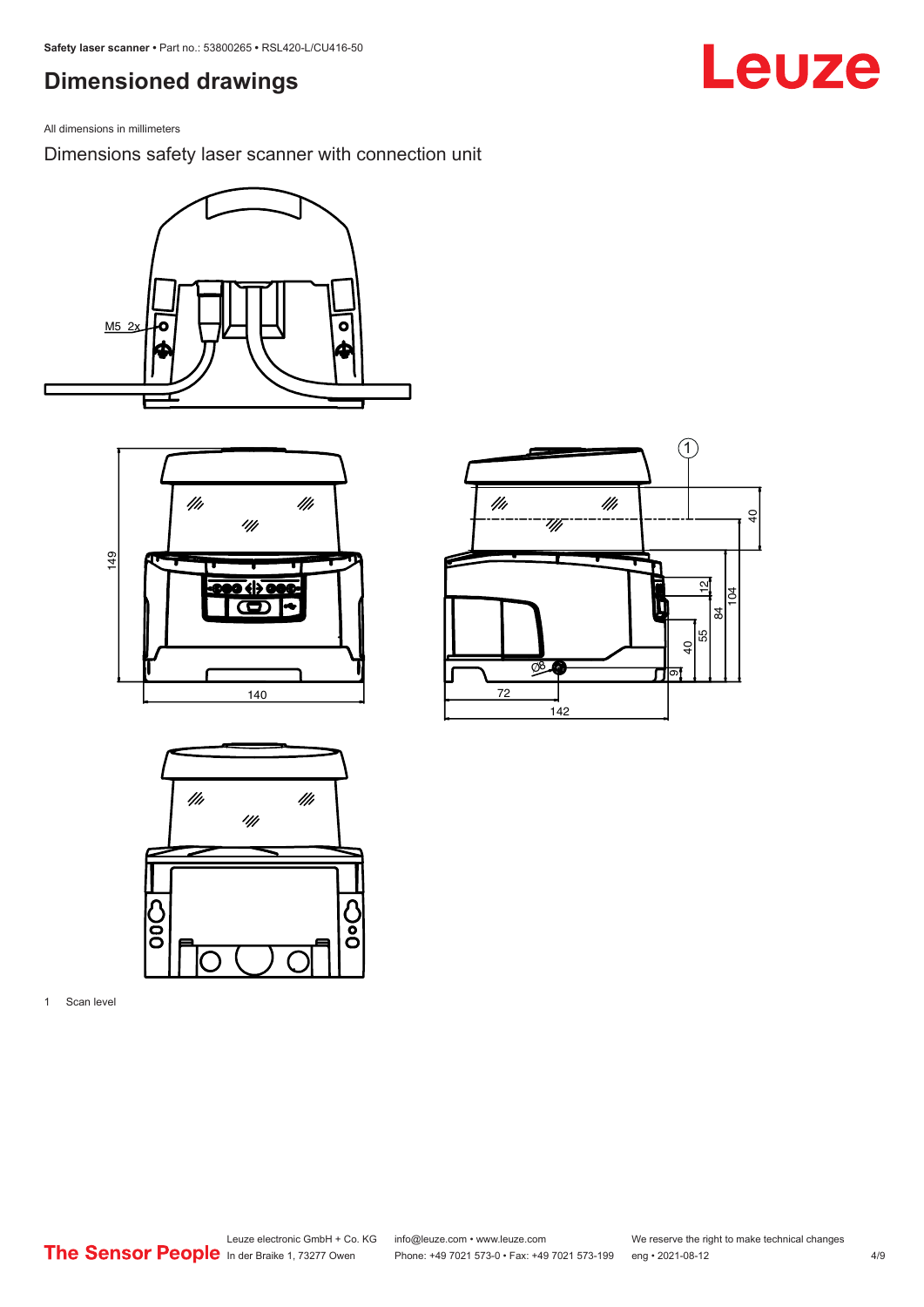## <span id="page-3-0"></span>**Dimensioned drawings**

All dimensions in millimeters

Dimensions safety laser scanner with connection unit









1 Scan level

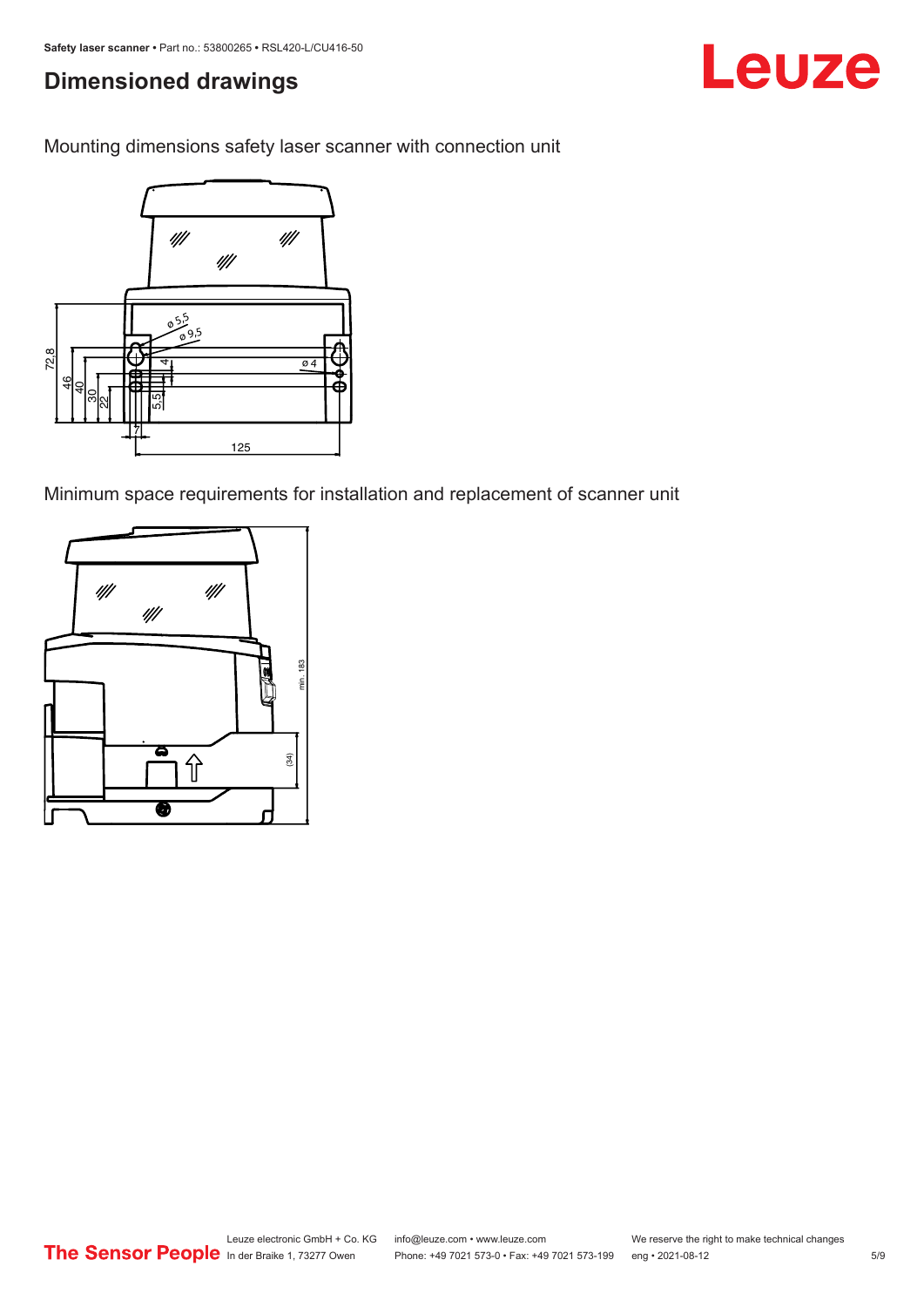# **Dimensioned drawings**

Mounting dimensions safety laser scanner with connection unit



Minimum space requirements for installation and replacement of scanner unit



Leuze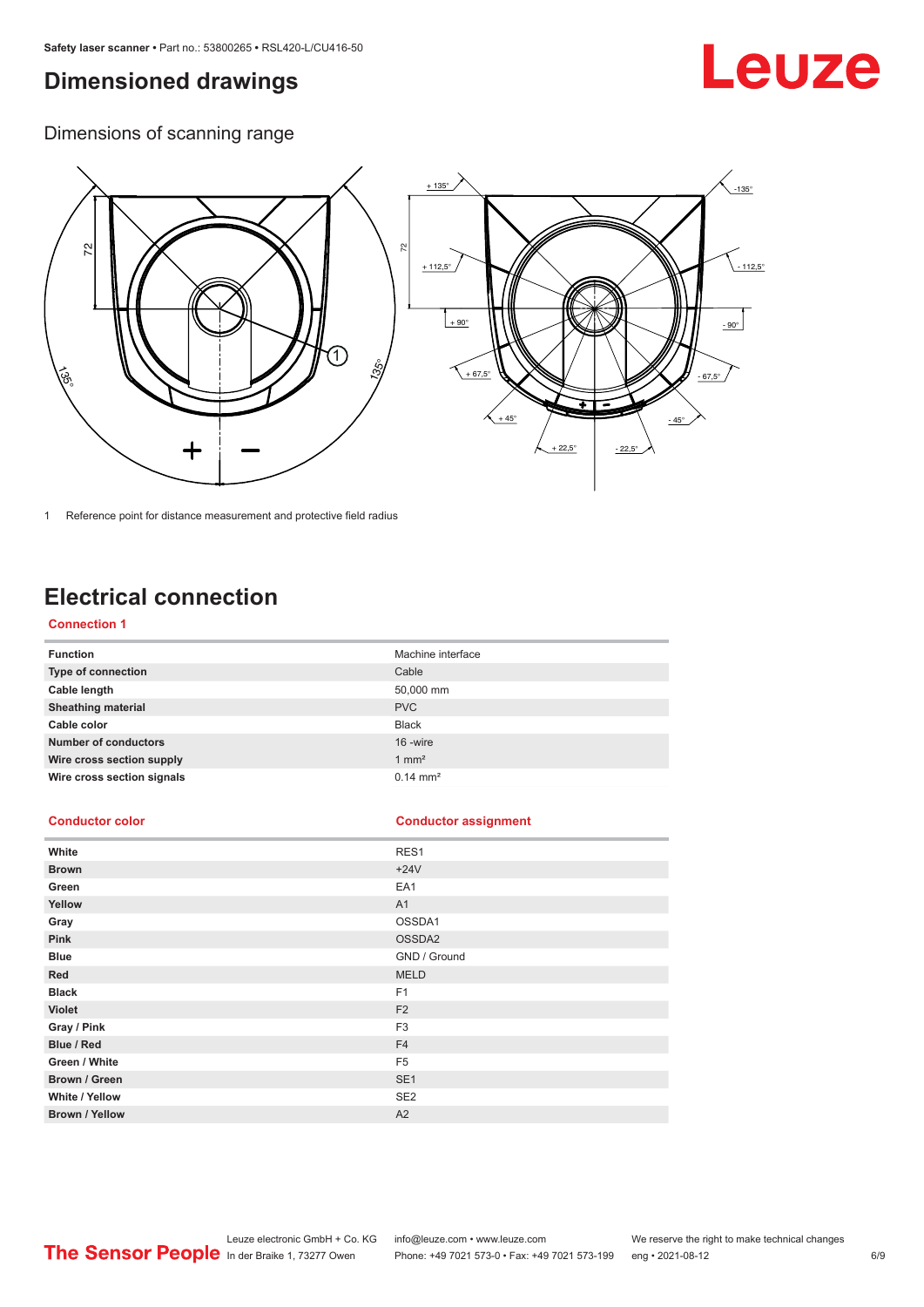## <span id="page-5-0"></span>**Dimensioned drawings**

# Leuze

Dimensions of scanning range



1 Reference point for distance measurement and protective field radius

# **Electrical connection**

#### **Connection 1**

| <b>Function</b>             | Machine interface   |
|-----------------------------|---------------------|
| Type of connection          | Cable               |
| Cable length                | 50,000 mm           |
| <b>Sheathing material</b>   | <b>PVC</b>          |
| Cable color                 | <b>Black</b>        |
| <b>Number of conductors</b> | 16 -wire            |
| Wire cross section supply   | $1 \text{ mm}^2$    |
| Wire cross section signals  | $0.14 \text{ mm}^2$ |

#### **Conductor color Conductor assignment**

| White                 | RES1            |
|-----------------------|-----------------|
| <b>Brown</b>          | $+24V$          |
| Green                 | EA1             |
| Yellow                | A1              |
| Gray                  | OSSDA1          |
| Pink                  | OSSDA2          |
| <b>Blue</b>           | GND / Ground    |
| Red                   | <b>MELD</b>     |
| <b>Black</b>          | F <sub>1</sub>  |
| Violet                | F <sub>2</sub>  |
| Gray / Pink           | F <sub>3</sub>  |
| Blue / Red            | F <sub>4</sub>  |
| Green / White         | F <sub>5</sub>  |
| Brown / Green         | SE <sub>1</sub> |
| White / Yellow        | SE <sub>2</sub> |
| <b>Brown / Yellow</b> | A2              |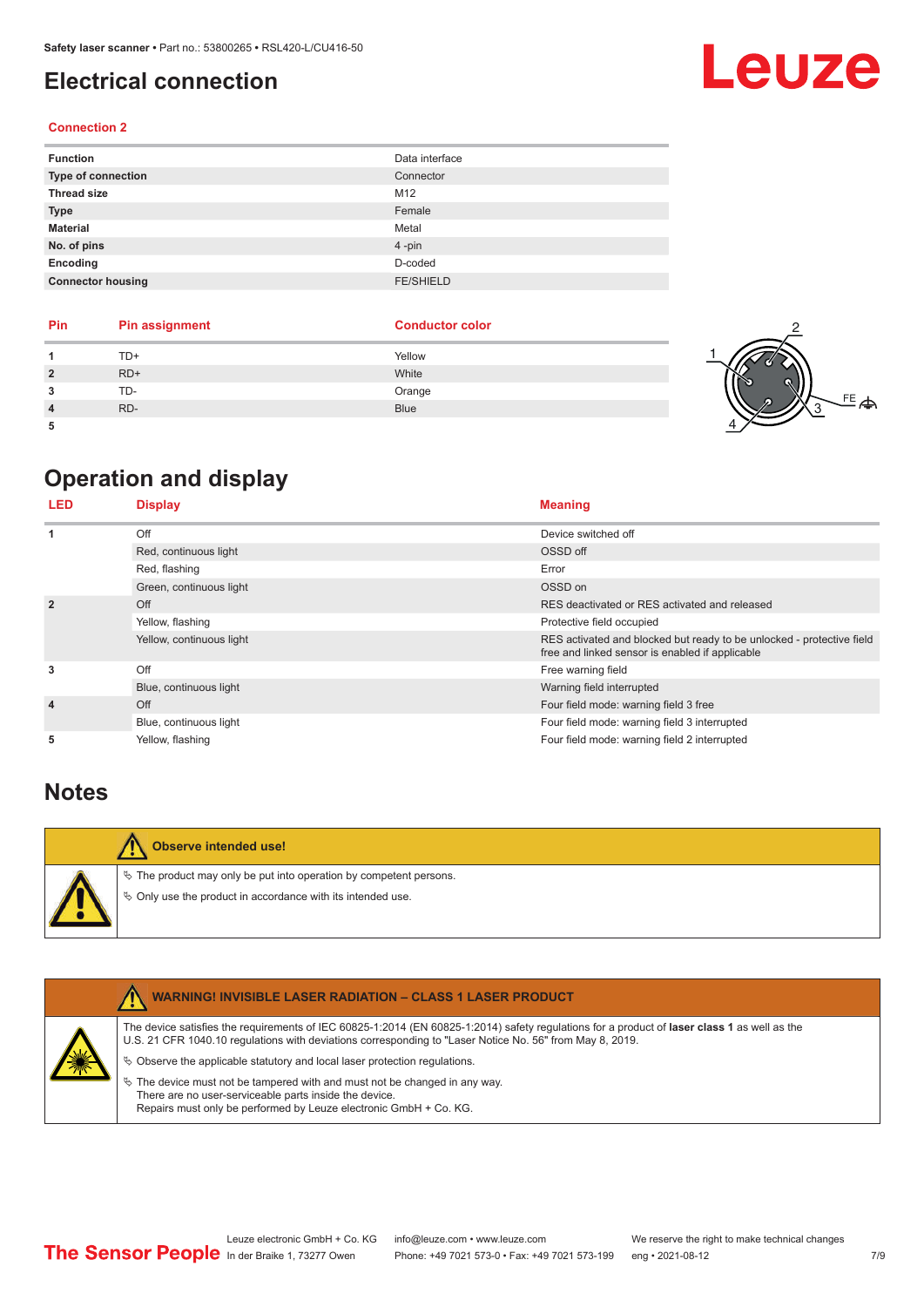## <span id="page-6-0"></span>**Electrical connection**

#### **Connection 2**

| <b>Function</b>          | Data interface   |
|--------------------------|------------------|
| Type of connection       | Connector        |
| <b>Thread size</b>       | M12              |
| <b>Type</b>              | Female           |
| <b>Material</b>          | Metal            |
| No. of pins              | $4 - pin$        |
| Encoding                 | D-coded          |
| <b>Connector housing</b> | <b>FE/SHIELD</b> |

| Pin | <b>Pin assignment</b> | <b>Conductor color</b> |    |
|-----|-----------------------|------------------------|----|
|     | TD+                   | Yellow                 |    |
|     | $RD+$                 | White                  |    |
|     | TD-                   | Orange                 | FE |
|     | RD-                   | <b>Blue</b>            |    |
|     |                       |                        |    |

# **Operation and display**

| LED            | <b>Display</b>           | <b>Meaning</b>                                                                                                           |
|----------------|--------------------------|--------------------------------------------------------------------------------------------------------------------------|
| 1              | Off                      | Device switched off                                                                                                      |
|                | Red, continuous light    | OSSD off                                                                                                                 |
|                | Red, flashing            | Error                                                                                                                    |
|                | Green, continuous light  | OSSD on                                                                                                                  |
| $\overline{2}$ | Off                      | RES deactivated or RES activated and released                                                                            |
|                | Yellow, flashing         | Protective field occupied                                                                                                |
|                | Yellow, continuous light | RES activated and blocked but ready to be unlocked - protective field<br>free and linked sensor is enabled if applicable |
| 3              | Off                      | Free warning field                                                                                                       |
|                | Blue, continuous light   | Warning field interrupted                                                                                                |
| $\overline{4}$ | Off                      | Four field mode: warning field 3 free                                                                                    |
|                | Blue, continuous light   | Four field mode: warning field 3 interrupted                                                                             |
| 5              | Yellow, flashing         | Four field mode: warning field 2 interrupted                                                                             |

### **Notes**

| Observe intended use!                                                                                                                |
|--------------------------------------------------------------------------------------------------------------------------------------|
| $\&$ The product may only be put into operation by competent persons.<br>♦ Only use the product in accordance with its intended use. |

|   | <b>WARNING! INVISIBLE LASER RADIATION - CLASS 1 LASER PRODUCT</b>                                                                                                                                                                                                                                                                                                                                                                                                                                                                                         |
|---|-----------------------------------------------------------------------------------------------------------------------------------------------------------------------------------------------------------------------------------------------------------------------------------------------------------------------------------------------------------------------------------------------------------------------------------------------------------------------------------------------------------------------------------------------------------|
| 美 | The device satisfies the requirements of IEC 60825-1:2014 (EN 60825-1:2014) safety regulations for a product of laser class 1 as well as the<br>U.S. 21 CFR 1040.10 regulations with deviations corresponding to "Laser Notice No. 56" from May 8, 2019.<br>$\&$ Observe the applicable statutory and local laser protection regulations.<br>$\%$ The device must not be tampered with and must not be changed in any way.<br>There are no user-serviceable parts inside the device.<br>Repairs must only be performed by Leuze electronic GmbH + Co. KG. |
|   |                                                                                                                                                                                                                                                                                                                                                                                                                                                                                                                                                           |

# **Leuze**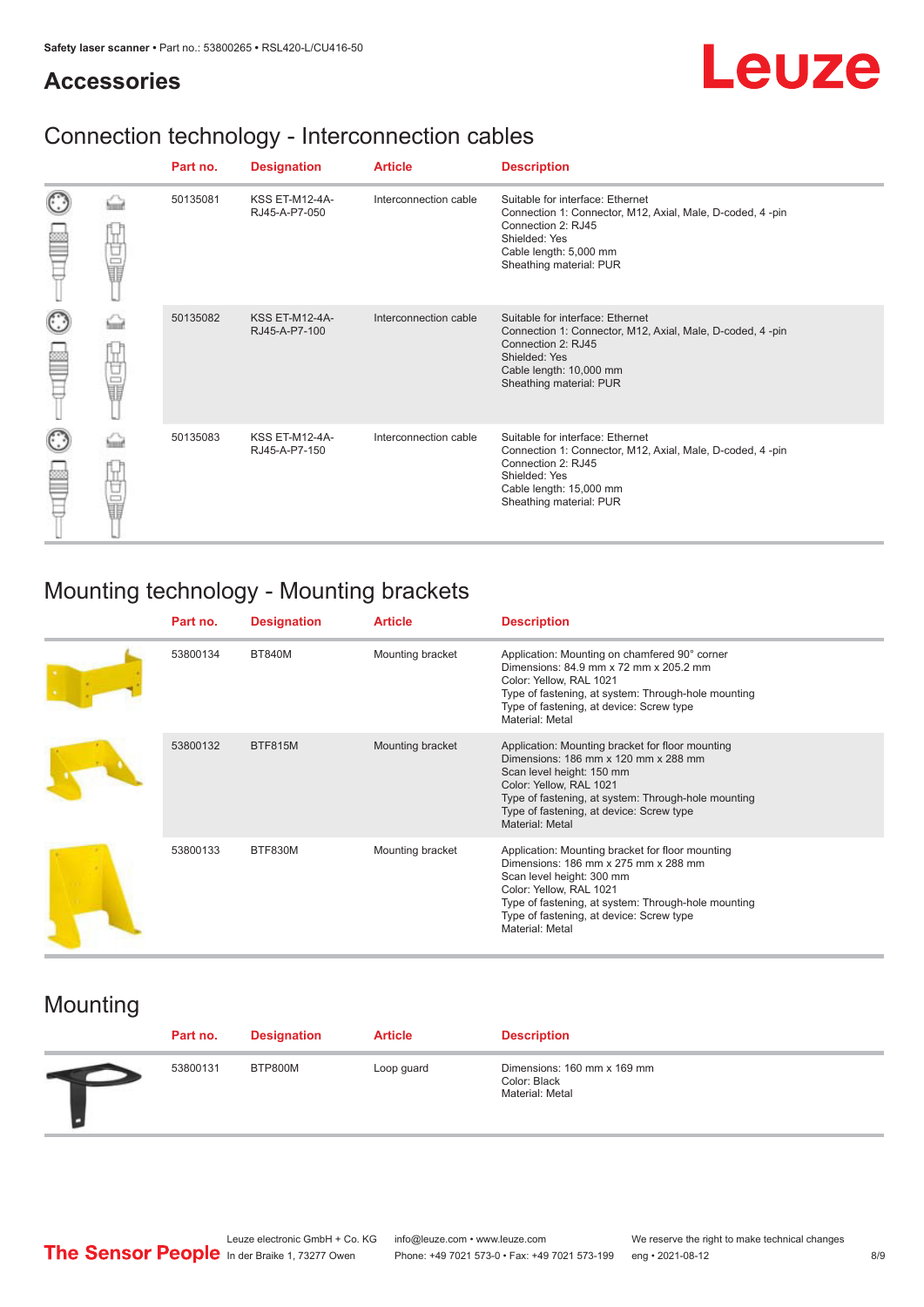## **Accessories**

# Leuze

# Connection technology - Interconnection cables

|   |            | Part no. | <b>Designation</b>                     | <b>Article</b>        | <b>Description</b>                                                                                                                                                                         |
|---|------------|----------|----------------------------------------|-----------------------|--------------------------------------------------------------------------------------------------------------------------------------------------------------------------------------------|
|   | Ù<br>U     | 50135081 | <b>KSS ET-M12-4A-</b><br>RJ45-A-P7-050 | Interconnection cable | Suitable for interface: Ethernet<br>Connection 1: Connector, M12, Axial, Male, D-coded, 4-pin<br>Connection 2: RJ45<br>Shielded: Yes<br>Cable length: 5,000 mm<br>Sheathing material: PUR  |
| C | ti<br>Ulti | 50135082 | <b>KSS ET-M12-4A-</b><br>RJ45-A-P7-100 | Interconnection cable | Suitable for interface: Ethernet<br>Connection 1: Connector, M12, Axial, Male, D-coded, 4-pin<br>Connection 2: RJ45<br>Shielded: Yes<br>Cable length: 10,000 mm<br>Sheathing material: PUR |
| C | Ù<br>U     | 50135083 | <b>KSS ET-M12-4A-</b><br>RJ45-A-P7-150 | Interconnection cable | Suitable for interface: Ethernet<br>Connection 1: Connector, M12, Axial, Male, D-coded, 4-pin<br>Connection 2: RJ45<br>Shielded: Yes<br>Cable length: 15,000 mm<br>Sheathing material: PUR |

# Mounting technology - Mounting brackets

| Part no. | <b>Designation</b> | <b>Article</b>   | <b>Description</b>                                                                                                                                                                                                                                                            |
|----------|--------------------|------------------|-------------------------------------------------------------------------------------------------------------------------------------------------------------------------------------------------------------------------------------------------------------------------------|
| 53800134 | <b>BT840M</b>      | Mounting bracket | Application: Mounting on chamfered 90° corner<br>Dimensions: 84.9 mm x 72 mm x 205.2 mm<br>Color: Yellow, RAL 1021<br>Type of fastening, at system: Through-hole mounting<br>Type of fastening, at device: Screw type<br>Material: Metal                                      |
| 53800132 | <b>BTF815M</b>     | Mounting bracket | Application: Mounting bracket for floor mounting<br>Dimensions: 186 mm x 120 mm x 288 mm<br>Scan level height: 150 mm<br>Color: Yellow, RAL 1021<br>Type of fastening, at system: Through-hole mounting<br>Type of fastening, at device: Screw type<br><b>Material: Metal</b> |
| 53800133 | BTF830M            | Mounting bracket | Application: Mounting bracket for floor mounting<br>Dimensions: 186 mm x 275 mm x 288 mm<br>Scan level height: 300 mm<br>Color: Yellow, RAL 1021<br>Type of fastening, at system: Through-hole mounting<br>Type of fastening, at device: Screw type<br>Material: Metal        |

# Mounting

| Part no. | <b>Designation</b> | <b>Article</b> | <b>Description</b>                                             |
|----------|--------------------|----------------|----------------------------------------------------------------|
| 53800131 | BTP800M            | Loop guard     | Dimensions: 160 mm x 169 mm<br>Color: Black<br>Material: Metal |